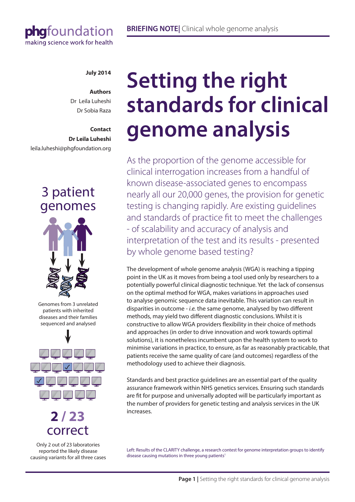# phgfoundation making science work for health

## **July 2014**

#### **Authors** Dr Leila Luheshi

Dr Sobia Raza

# **Contact Dr Leila Luheshi** leila.luheshi@phgfoundation.org

# 3 patient genomes



Genomes from 3 unrelated patients with inherited diseases and their families sequenced and analysed



# **2 / 23** correct

Only 2 out of 23 laboratories reported the likely disease causing variants for all three cases

# **Setting the right standards for clinical genome analysis**

As the proportion of the genome accessible for clinical interrogation increases from a handful of known disease-associated genes to encompass nearly all our 20,000 genes, the provision for genetic testing is changing rapidly. Are existing guidelines and standards of practice fit to meet the challenges - of scalability and accuracy of analysis and interpretation of the test and its results - presented by whole genome based testing?

The development of whole genome analysis (WGA) is reaching a tipping point in the UK as it moves from being a tool used only by researchers to a potentially powerful clinical diagnostic technique. Yet the lack of consensus on the optimal method for WGA, makes variations in approaches used to analyse genomic sequence data inevitable. This variation can result in disparities in outcome - *i.e.* the same genome, analysed by two different methods, may yield two different diagnostic conclusions. Whilst it is constructive to allow WGA providers flexibility in their choice of methods and approaches (in order to drive innovation and work towards optimal solutions), it is nonetheless incumbent upon the health system to work to minimise variations in practice, to ensure, as far as reasonably practicable, that patients receive the same quality of care (and outcomes) regardless of the methodology used to achieve their diagnosis.

Standards and best practice guidelines are an essential part of the quality assurance framework within NHS genetics services. Ensuring such standards are fit for purpose and universally adopted will be particularly important as the number of providers for genetic testing and analysis services in the UK increases.

Left: Results of the CLARITY challenge, a research contest for genome interpretation groups to identify disease causing mutations in three young patients<sup>1</sup>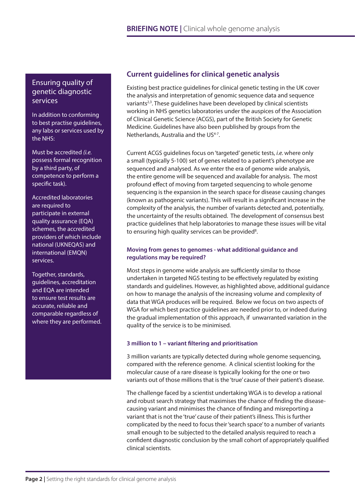Ensuring quality of genetic diagnostic services

In addition to conforming to best practise guidelines, any labs or services used by the NHS:

Must be accredited *(i.e.* possess formal recognition by a third party, of competence to perform a specific task).

Accredited laboratories are required to participate in external quality assurance (EQA) schemes, the accredited providers of which include national (UKNEQAS) and international (EMQN) services.

Together, standards, guidelines, accreditation and EQA are intended to ensure test results are accurate, reliable and comparable regardless of where they are performed.

# **Current guidelines for clinical genetic analysis**

Existing best practice guidelines for clinical genetic testing in the UK cover the analysis and interpretation of genomic sequence data and sequence variants<sup>2,3</sup>. These quidelines have been developed by clinical scientists working in NHS genetics laboratories under the auspices of the Association of Clinical Genetic Science (ACGS), part of the British Society for Genetic Medicine. Guidelines have also been published by groups from the Netherlands, Australia and the US<sup>4-7</sup>.

Current ACGS guidelines focus on 'targeted' genetic tests, *i.e.* where only a small (typically 5-100) set of genes related to a patient's phenotype are sequenced and analysed. As we enter the era of genome wide analysis, the entire genome will be sequenced and available for analysis. The most profound effect of moving from targeted sequencing to whole genome sequencing is the expansion in the search space for disease causing changes (known as pathogenic variants). This will result in a significant increase in the complexity of the analysis, the number of variants detected and, potentially, the uncertainty of the results obtained. The development of consensus best practice guidelines that help laboratories to manage these issues will be vital to ensuring high quality services can be provided<sup>8</sup>.

## **Moving from genes to genomes - what additional guidance and regulations may be required?**

Most steps in genome wide analysis are sufficiently similar to those undertaken in targeted NGS testing to be effectively regulated by existing standards and guidelines. However, as highlighted above, additional guidance on how to manage the analysis of the increasing volume and complexity of data that WGA produces will be required. Below we focus on two aspects of WGA for which best practice guidelines are needed prior to, or indeed during the gradual implementation of this approach, if unwarranted variation in the quality of the service is to be minimised.

# **3 million to 1 – variant filtering and prioritisation**

3 million variants are typically detected during whole genome sequencing, compared with the reference genome. A clinical scientist looking for the molecular cause of a rare disease is typically looking for the one or two variants out of those millions that is the 'true' cause of their patient's disease.

The challenge faced by a scientist undertaking WGA is to develop a rational and robust search strategy that maximises the chance of finding the diseasecausing variant and minimises the chance of finding and misreporting a variant that is not the 'true' cause of their patient's illness. This is further complicated by the need to focus their 'search space' to a number of variants small enough to be subjected to the detailed analysis required to reach a confident diagnostic conclusion by the small cohort of appropriately qualified clinical scientists.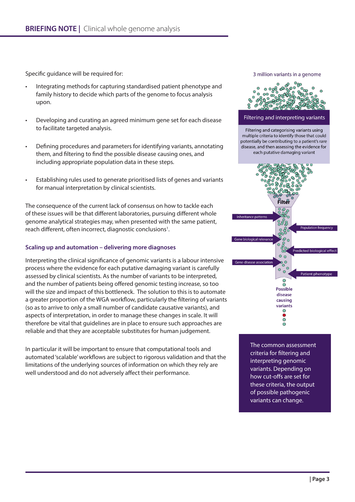Specific guidance will be required for:

- Integrating methods for capturing standardised patient phenotype and family history to decide which parts of the genome to focus analysis upon.
- Developing and curating an agreed minimum gene set for each disease to facilitate targeted analysis.
- Defining procedures and parameters for identifying variants, annotating them, and filtering to find the possible disease causing ones, and including appropriate population data in these steps.
- Establishing rules used to generate prioritised lists of genes and variants for manual interpretation by clinical scientists.

The consequence of the current lack of consensus on how to tackle each of these issues will be that different laboratories, pursuing different whole genome analytical strategies may, when presented with the same patient, reach different, often incorrect, diagnostic conclusions<sup>1</sup>.

### **Scaling up and automation – delivering more diagnoses**

Interpreting the clinical significance of genomic variants is a labour intensive process where the evidence for each putative damaging variant is carefully assessed by clinical scientists. As the number of variants to be interpreted, and the number of patients being offered genomic testing increase, so too will the size and impact of this bottleneck. The solution to this is to automate a greater proportion of the WGA workflow, particularly the filtering of variants (so as to arrive to only a small number of candidate causative variants), and aspects of interpretation, in order to manage these changes in scale. It will therefore be vital that guidelines are in place to ensure such approaches are reliable and that they are acceptable substitutes for human judgement.

In particular it will be important to ensure that computational tools and automated 'scalable' workflows are subject to rigorous validation and that the limitations of the underlying sources of information on which they rely are well understood and do not adversely affect their performance.

3 million variants in a genome



Filtering and interpreting variants

Filtering and categorising variants using multiple criteria to identify those that could potentially be contributing to a patient's rare disease, and then assessing the evidence for each putative damaging variant



The common assessment criteria for filtering and interpreting genomic variants. Depending on how cut-offs are set for these criteria, the output of possible pathogenic variants can change.